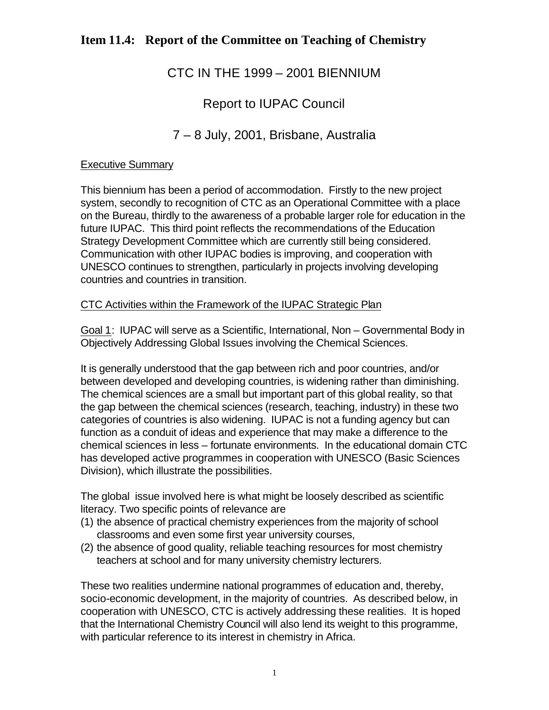# CTC IN THE 1999 – 2001 BIENNIUM

# Report to IUPAC Council

# 7 – 8 July, 2001, Brisbane, Australia

### Executive Summary

This biennium has been a period of accommodation. Firstly to the new project system, secondly to recognition of CTC as an Operational Committee with a place on the Bureau, thirdly to the awareness of a probable larger role for education in the future IUPAC. This third point reflects the recommendations of the Education Strategy Development Committee which are currently still being considered. Communication with other IUPAC bodies is improving, and cooperation with UNESCO continues to strengthen, particularly in projects involving developing countries and countries in transition.

### CTC Activities within the Framework of the IUPAC Strategic Plan

Goal 1: IUPAC will serve as a Scientific, International, Non – Governmental Body in Objectively Addressing Global Issues involving the Chemical Sciences.

It is generally understood that the gap between rich and poor countries, and/or between developed and developing countries, is widening rather than diminishing. The chemical sciences are a small but important part of this global reality, so that the gap between the chemical sciences (research, teaching, industry) in these two categories of countries is also widening. IUPAC is not a funding agency but can function as a conduit of ideas and experience that may make a difference to the chemical sciences in less – fortunate environments. In the educational domain CTC has developed active programmes in cooperation with UNESCO (Basic Sciences Division), which illustrate the possibilities.

The global issue involved here is what might be loosely described as scientific literacy. Two specific points of relevance are

- (1) the absence of practical chemistry experiences from the majority of school classrooms and even some first year university courses,
- (2) the absence of good quality, reliable teaching resources for most chemistry teachers at school and for many university chemistry lecturers.

These two realities undermine national programmes of education and, thereby, socio-economic development, in the majority of countries. As described below, in cooperation with UNESCO, CTC is actively addressing these realities. It is hoped that the International Chemistry Council will also lend its weight to this programme, with particular reference to its interest in chemistry in Africa.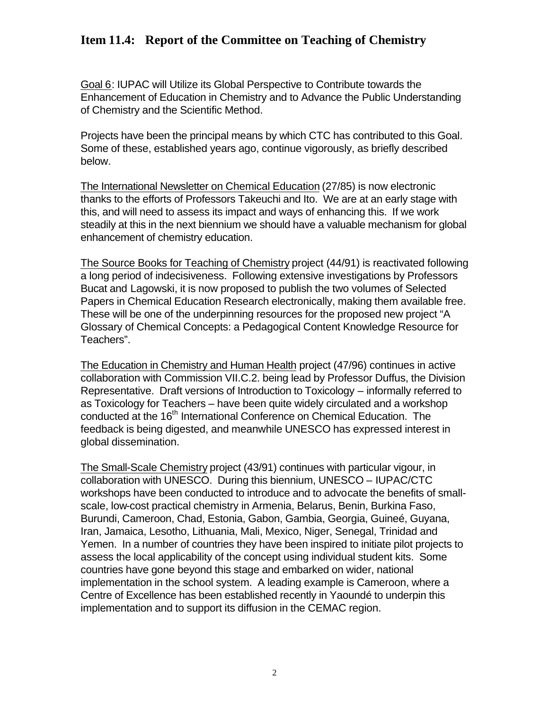Goal 6: IUPAC will Utilize its Global Perspective to Contribute towards the Enhancement of Education in Chemistry and to Advance the Public Understanding of Chemistry and the Scientific Method.

Projects have been the principal means by which CTC has contributed to this Goal. Some of these, established years ago, continue vigorously, as briefly described below.

The International Newsletter on Chemical Education (27/85) is now electronic thanks to the efforts of Professors Takeuchi and Ito. We are at an early stage with this, and will need to assess its impact and ways of enhancing this. If we work steadily at this in the next biennium we should have a valuable mechanism for global enhancement of chemistry education.

The Source Books for Teaching of Chemistry project (44/91) is reactivated following a long period of indecisiveness. Following extensive investigations by Professors Bucat and Lagowski, it is now proposed to publish the two volumes of Selected Papers in Chemical Education Research electronically, making them available free. These will be one of the underpinning resources for the proposed new project "A Glossary of Chemical Concepts: a Pedagogical Content Knowledge Resource for Teachers".

The Education in Chemistry and Human Health project (47/96) continues in active collaboration with Commission VII.C.2. being lead by Professor Duffus, the Division Representative. Draft versions of Introduction to Toxicology – informally referred to as Toxicology for Teachers – have been quite widely circulated and a workshop conducted at the 16<sup>th</sup> International Conference on Chemical Education. The feedback is being digested, and meanwhile UNESCO has expressed interest in global dissemination.

The Small-Scale Chemistry project (43/91) continues with particular vigour, in collaboration with UNESCO. During this biennium, UNESCO – IUPAC/CTC workshops have been conducted to introduce and to advocate the benefits of smallscale, low-cost practical chemistry in Armenia, Belarus, Benin, Burkina Faso, Burundi, Cameroon, Chad, Estonia, Gabon, Gambia, Georgia, Guineé, Guyana, Iran, Jamaica, Lesotho, Lithuania, Mali, Mexico, Niger, Senegal, Trinidad and Yemen. In a number of countries they have been inspired to initiate pilot projects to assess the local applicability of the concept using individual student kits. Some countries have gone beyond this stage and embarked on wider, national implementation in the school system. A leading example is Cameroon, where a Centre of Excellence has been established recently in Yaoundé to underpin this implementation and to support its diffusion in the CEMAC region.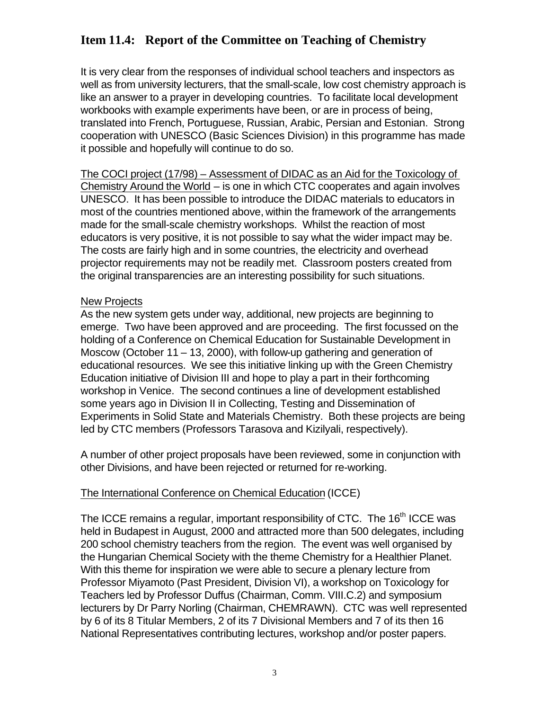It is very clear from the responses of individual school teachers and inspectors as well as from university lecturers, that the small-scale, low cost chemistry approach is like an answer to a prayer in developing countries. To facilitate local development workbooks with example experiments have been, or are in process of being, translated into French, Portuguese, Russian, Arabic, Persian and Estonian. Strong cooperation with UNESCO (Basic Sciences Division) in this programme has made it possible and hopefully will continue to do so.

The COCI project (17/98) – Assessment of DIDAC as an Aid for the Toxicology of Chemistry Around the World – is one in which CTC cooperates and again involves UNESCO. It has been possible to introduce the DIDAC materials to educators in most of the countries mentioned above, within the framework of the arrangements made for the small-scale chemistry workshops. Whilst the reaction of most educators is very positive, it is not possible to say what the wider impact may be. The costs are fairly high and in some countries, the electricity and overhead projector requirements may not be readily met. Classroom posters created from the original transparencies are an interesting possibility for such situations.

#### New Projects

As the new system gets under way, additional, new projects are beginning to emerge. Two have been approved and are proceeding. The first focussed on the holding of a Conference on Chemical Education for Sustainable Development in Moscow (October 11 – 13, 2000), with follow-up gathering and generation of educational resources. We see this initiative linking up with the Green Chemistry Education initiative of Division III and hope to play a part in their forthcoming workshop in Venice. The second continues a line of development established some years ago in Division II in Collecting, Testing and Dissemination of Experiments in Solid State and Materials Chemistry. Both these projects are being led by CTC members (Professors Tarasova and Kizilyali, respectively).

A number of other project proposals have been reviewed, some in conjunction with other Divisions, and have been rejected or returned for re-working.

#### The International Conference on Chemical Education (ICCE)

The ICCE remains a regular, important responsibility of CTC. The 16<sup>th</sup> ICCE was held in Budapest in August, 2000 and attracted more than 500 delegates, including 200 school chemistry teachers from the region. The event was well organised by the Hungarian Chemical Society with the theme Chemistry for a Healthier Planet. With this theme for inspiration we were able to secure a plenary lecture from Professor Miyamoto (Past President, Division VI), a workshop on Toxicology for Teachers led by Professor Duffus (Chairman, Comm. VIII.C.2) and symposium lecturers by Dr Parry Norling (Chairman, CHEMRAWN). CTC was well represented by 6 of its 8 Titular Members, 2 of its 7 Divisional Members and 7 of its then 16 National Representatives contributing lectures, workshop and/or poster papers.